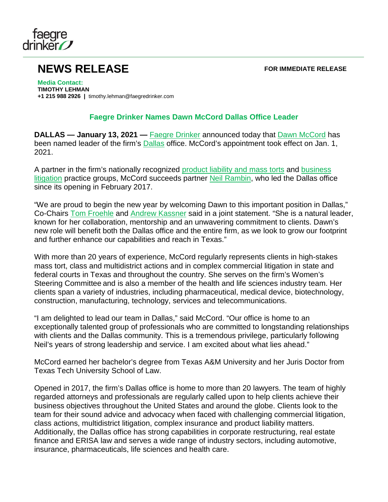

## **NEWS RELEASE FOR IMMEDIATE RELEASE**

**Media Contact: TIMOTHY LEHMAN +1 215 988 2926 |** timothy.lehman@faegredrinker.com

## **Faegre Drinker Names Dawn McCord Dallas Office Leader**

**DALLAS — January 13, 2021 —** [Faegre Drinker](https://www.faegredrinker.com/) announced today that [Dawn McCord](https://www.faegredrinker.com/en/professionals/m/mccord-dawn-s-shawger#!) has been named leader of the firm's [Dallas](https://www.faegredrinker.com/en/locations/dallas#!) office. McCord's appointment took effect on Jan. 1, 2021.

A partner in the firm's nationally recognized [product liability and mass torts](https://www.faegredrinker.com/en/services/services/product-liability-and-mass-torts) and [business](https://www.faegredrinker.com/en/services/services/litigation#!)  [litigation](https://www.faegredrinker.com/en/services/services/litigation#!) practice groups, McCord succeeds partner [Neil Rambin,](https://www.faegredrinker.com/en/professionals/r/rambin-w-neil#!) who led the Dallas office since its opening in February 2017.

"We are proud to begin the new year by welcoming Dawn to this important position in Dallas," Co-Chairs [Tom Froehle](https://www.faegredrinker.com/en/professionals/f/froehle-tom#!) and [Andrew Kassner](https://www.faegredrinker.com/en/professionals/k/kassner-andrew-c#!) said in a joint statement. "She is a natural leader, known for her collaboration, mentorship and an unwavering commitment to clients. Dawn's new role will benefit both the Dallas office and the entire firm, as we look to grow our footprint and further enhance our capabilities and reach in Texas."

With more than 20 years of experience, McCord regularly represents clients in high-stakes mass tort, class and multidistrict actions and in complex commercial litigation in state and federal courts in Texas and throughout the country. She serves on the firm's Women's Steering Committee and is also a member of the health and life sciences industry team. Her clients span a variety of industries, including pharmaceutical, medical device, biotechnology, construction, manufacturing, technology, services and telecommunications.

"I am delighted to lead our team in Dallas," said McCord. "Our office is home to an exceptionally talented group of professionals who are committed to longstanding relationships with clients and the Dallas community. This is a tremendous privilege, particularly following Neil's years of strong leadership and service. I am excited about what lies ahead."

McCord earned her bachelor's degree from Texas A&M University and her Juris Doctor from Texas Tech University School of Law.

Opened in 2017, the firm's Dallas office is home to more than 20 lawyers. The team of highly regarded attorneys and professionals are regularly called upon to help clients achieve their business objectives throughout the United States and around the globe. Clients look to the team for their sound advice and advocacy when faced with challenging commercial litigation, class actions, multidistrict litigation, complex insurance and product liability matters. Additionally, the Dallas office has strong capabilities in corporate restructuring, real estate finance and ERISA law and serves a wide range of industry sectors, including automotive, insurance, pharmaceuticals, life sciences and health care.